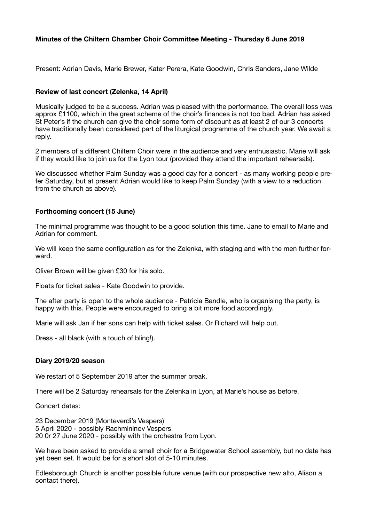# **Minutes of the Chiltern Chamber Choir Committee Meeting - Thursday 6 June 2019**

Present: Adrian Davis, Marie Brewer, Kater Perera, Kate Goodwin, Chris Sanders, Jane Wilde

## **Review of last concert (Zelenka, 14 April)**

Musically judged to be a success. Adrian was pleased with the performance. The overall loss was approx £1100, which in the great scheme of the choir's finances is not too bad. Adrian has asked St Peter's if the church can give the choir some form of discount as at least 2 of our 3 concerts have traditionally been considered part of the liturgical programme of the church year. We await a reply.

2 members of a different Chiltern Choir were in the audience and very enthusiastic. Marie will ask if they would like to join us for the Lyon tour (provided they attend the important rehearsals).

We discussed whether Palm Sunday was a good day for a concert - as many working people prefer Saturday, but at present Adrian would like to keep Palm Sunday (with a view to a reduction from the church as above).

## **Forthcoming concert (15 June)**

The minimal programme was thought to be a good solution this time. Jane to email to Marie and Adrian for comment.

We will keep the same configuration as for the Zelenka, with staging and with the men further forward.

Oliver Brown will be given £30 for his solo.

Floats for ticket sales - Kate Goodwin to provide.

The after party is open to the whole audience - Patricia Bandle, who is organising the party, is happy with this. People were encouraged to bring a bit more food accordingly.

Marie will ask Jan if her sons can help with ticket sales. Or Richard will help out.

Dress - all black (with a touch of bling!).

#### **Diary 2019/20 season**

We restart of 5 September 2019 after the summer break.

There will be 2 Saturday rehearsals for the Zelenka in Lyon, at Marie's house as before.

Concert dates:

23 December 2019 (Monteverdi's Vespers) 5 April 2020 - possibly Rachmininov Vespers 20 0r 27 June 2020 - possibly with the orchestra from Lyon.

We have been asked to provide a small choir for a Bridgewater School assembly, but no date has yet been set. It would be for a short slot of 5-10 minutes.

Edlesborough Church is another possible future venue (with our prospective new alto, Alison a contact there).